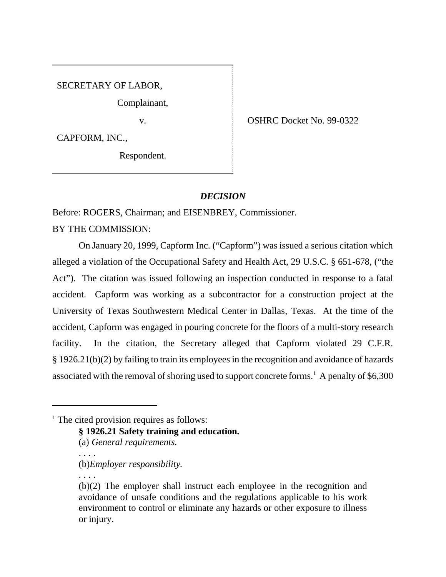# SECRETARY OF LABOR,

Complainant,

CAPFORM, INC.,

Respondent.

v. Solution of the COSHRC Docket No. 99-0322

## *DECISION*

Before: ROGERS, Chairman; and EISENBREY, Commissioner.

BY THE COMMISSION:

On January 20, 1999, Capform Inc. ("Capform") was issued a serious citation which alleged a violation of the Occupational Safety and Health Act, 29 U.S.C. § 651-678, ("the Act"). The citation was issued following an inspection conducted in response to a fatal accident. Capform was working as a subcontractor for a construction project at the University of Texas Southwestern Medical Center in Dallas, Texas. At the time of the accident, Capform was engaged in pouring concrete for the floors of a multi-story research facility. In the citation, the Secretary alleged that Capform violated 29 C.F.R. § 1926.21(b)(2) by failing to train its employees in the recognition and avoidance of hazards associated with the removal of shoring used to support concrete forms.<sup>1</sup> A penalty of \$6,300

**§ 1926.21 Safety training and education.**

(a) *General requirements.*

(b)*Employer responsibility.*

. . . .

. . . .

<sup>&</sup>lt;sup>1</sup> The cited provision requires as follows:

<sup>(</sup>b)(2) The employer shall instruct each employee in the recognition and avoidance of unsafe conditions and the regulations applicable to his work environment to control or eliminate any hazards or other exposure to illness or injury.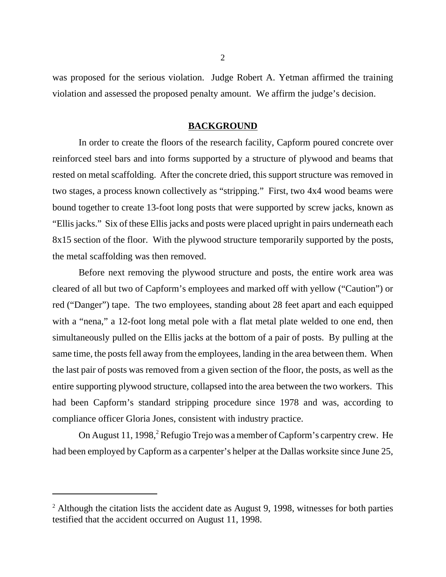was proposed for the serious violation. Judge Robert A. Yetman affirmed the training violation and assessed the proposed penalty amount. We affirm the judge's decision.

### **BACKGROUND**

In order to create the floors of the research facility, Capform poured concrete over reinforced steel bars and into forms supported by a structure of plywood and beams that rested on metal scaffolding. After the concrete dried, this support structure was removed in two stages, a process known collectively as "stripping." First, two 4x4 wood beams were bound together to create 13-foot long posts that were supported by screw jacks, known as "Ellis jacks." Six of these Ellis jacks and posts were placed upright in pairs underneath each 8x15 section of the floor. With the plywood structure temporarily supported by the posts, the metal scaffolding was then removed.

Before next removing the plywood structure and posts, the entire work area was cleared of all but two of Capform's employees and marked off with yellow ("Caution") or red ("Danger") tape. The two employees, standing about 28 feet apart and each equipped with a "nena," a 12-foot long metal pole with a flat metal plate welded to one end, then simultaneously pulled on the Ellis jacks at the bottom of a pair of posts. By pulling at the same time, the posts fell away from the employees, landing in the area between them. When the last pair of posts was removed from a given section of the floor, the posts, as well as the entire supporting plywood structure, collapsed into the area between the two workers. This had been Capform's standard stripping procedure since 1978 and was, according to compliance officer Gloria Jones, consistent with industry practice.

On August 11, 1998,<sup>2</sup> Refugio Trejo was a member of Capform's carpentry crew. He had been employed by Capform as a carpenter's helper at the Dallas worksite since June 25,

 $2$  Although the citation lists the accident date as August 9, 1998, witnesses for both parties testified that the accident occurred on August 11, 1998.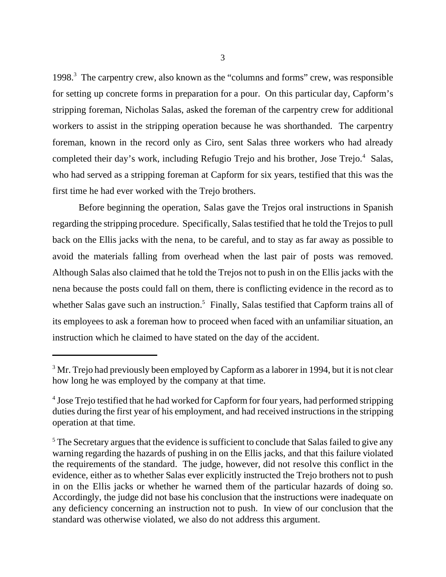1998.<sup>3</sup> The carpentry crew, also known as the "columns and forms" crew, was responsible for setting up concrete forms in preparation for a pour. On this particular day, Capform's stripping foreman, Nicholas Salas, asked the foreman of the carpentry crew for additional workers to assist in the stripping operation because he was shorthanded. The carpentry foreman, known in the record only as Ciro, sent Salas three workers who had already completed their day's work, including Refugio Trejo and his brother, Jose Trejo.<sup>4</sup> Salas, who had served as a stripping foreman at Capform for six years, testified that this was the first time he had ever worked with the Trejo brothers.

Before beginning the operation, Salas gave the Trejos oral instructions in Spanish regarding the stripping procedure. Specifically, Salas testified that he told the Trejos to pull back on the Ellis jacks with the nena, to be careful, and to stay as far away as possible to avoid the materials falling from overhead when the last pair of posts was removed. Although Salas also claimed that he told the Trejos not to push in on the Ellis jacks with the nena because the posts could fall on them, there is conflicting evidence in the record as to whether Salas gave such an instruction.<sup>5</sup> Finally, Salas testified that Capform trains all of its employees to ask a foreman how to proceed when faced with an unfamiliar situation, an instruction which he claimed to have stated on the day of the accident.

 $^3$  Mr. Trejo had previously been employed by Capform as a laborer in 1994, but it is not clear how long he was employed by the company at that time.

<sup>&</sup>lt;sup>4</sup> Jose Trejo testified that he had worked for Capform for four years, had performed stripping duties during the first year of his employment, and had received instructions in the stripping operation at that time.

<sup>&</sup>lt;sup>5</sup> The Secretary argues that the evidence is sufficient to conclude that Salas failed to give any warning regarding the hazards of pushing in on the Ellis jacks, and that this failure violated the requirements of the standard. The judge, however, did not resolve this conflict in the evidence, either as to whether Salas ever explicitly instructed the Trejo brothers not to push in on the Ellis jacks or whether he warned them of the particular hazards of doing so. Accordingly, the judge did not base his conclusion that the instructions were inadequate on any deficiency concerning an instruction not to push. In view of our conclusion that the standard was otherwise violated, we also do not address this argument.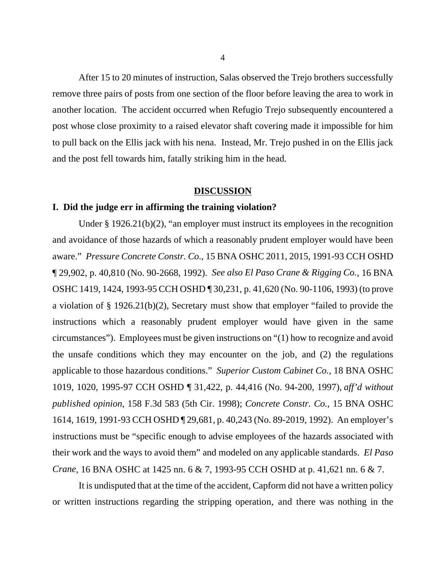After 15 to 20 minutes of instruction, Salas observed the Trejo brothers successfully remove three pairs of posts from one section of the floor before leaving the area to work in another location. The accident occurred when Refugio Trejo subsequently encountered a post whose close proximity to a raised elevator shaft covering made it impossible for him to pull back on the Ellis jack with his nena. Instead, Mr. Trejo pushed in on the Ellis jack and the post fell towards him, fatally striking him in the head.

#### **DISCUSSION**

### **I. Did the judge err in affirming the training violation?**

Under § 1926.21(b)(2), "an employer must instruct its employees in the recognition and avoidance of those hazards of which a reasonably prudent employer would have been aware." *Pressure Concrete Constr. Co.*, 15 BNA OSHC 2011, 2015, 1991-93 CCH OSHD ¶ 29,902, p. 40,810 (No. 90-2668, 1992). *See also El Paso Crane & Rigging Co.*, 16 BNA OSHC 1419, 1424, 1993-95 CCH OSHD ¶ 30,231, p. 41,620 (No. 90-1106, 1993) (to prove a violation of § 1926.21(b)(2), Secretary must show that employer "failed to provide the instructions which a reasonably prudent employer would have given in the same circumstances"). Employees must be given instructions on "(1) how to recognize and avoid the unsafe conditions which they may encounter on the job, and (2) the regulations applicable to those hazardous conditions." *Superior Custom Cabinet Co.*, 18 BNA OSHC 1019, 1020, 1995-97 CCH OSHD ¶ 31,422, p. 44,416 (No. 94-200, 1997), *aff'd without published opinion*, 158 F.3d 583 (5th Cir. 1998); *Concrete Constr. Co.*, 15 BNA OSHC 1614, 1619, 1991-93 CCH OSHD ¶ 29,681, p. 40,243 (No. 89-2019, 1992). An employer's instructions must be "specific enough to advise employees of the hazards associated with their work and the ways to avoid them" and modeled on any applicable standards. *El Paso Crane*, 16 BNA OSHC at 1425 nn. 6 & 7, 1993-95 CCH OSHD at p. 41,621 nn. 6 & 7.

It is undisputed that at the time of the accident, Capform did not have a written policy or written instructions regarding the stripping operation, and there was nothing in the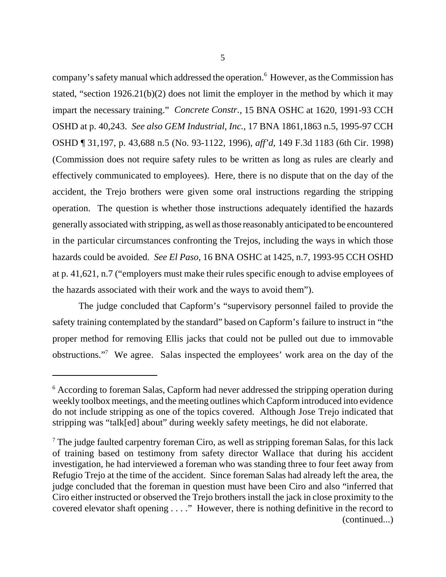company's safety manual which addressed the operation.<sup>6</sup> However, as the Commission has stated, "section 1926.21(b)(2) does not limit the employer in the method by which it may impart the necessary training." *Concrete Constr.*, 15 BNA OSHC at 1620, 1991-93 CCH OSHD at p. 40,243. *See also GEM Industrial, Inc.*, 17 BNA 1861,1863 n.5, 1995-97 CCH OSHD ¶ 31,197, p. 43,688 n.5 (No. 93-1122, 1996), *aff'd*, 149 F.3d 1183 (6th Cir. 1998) (Commission does not require safety rules to be written as long as rules are clearly and effectively communicated to employees). Here, there is no dispute that on the day of the accident, the Trejo brothers were given some oral instructions regarding the stripping operation. The question is whether those instructions adequately identified the hazards generally associated with stripping, as well as those reasonably anticipated to be encountered in the particular circumstances confronting the Trejos, including the ways in which those hazards could be avoided. *See El Paso*, 16 BNA OSHC at 1425, n.7, 1993-95 CCH OSHD at p. 41,621, n.7 ("employers must make their rules specific enough to advise employees of the hazards associated with their work and the ways to avoid them").

The judge concluded that Capform's "supervisory personnel failed to provide the safety training contemplated by the standard" based on Capform's failure to instruct in "the proper method for removing Ellis jacks that could not be pulled out due to immovable obstructions."<sup>7</sup> We agree. Salas inspected the employees' work area on the day of the

<sup>&</sup>lt;sup>6</sup> According to foreman Salas, Capform had never addressed the stripping operation during weekly toolbox meetings, and the meeting outlines which Capform introduced into evidence do not include stripping as one of the topics covered. Although Jose Trejo indicated that stripping was "talk[ed] about" during weekly safety meetings, he did not elaborate.

 $<sup>7</sup>$  The judge faulted carpentry foreman Ciro, as well as stripping foreman Salas, for this lack</sup> of training based on testimony from safety director Wallace that during his accident investigation, he had interviewed a foreman who was standing three to four feet away from Refugio Trejo at the time of the accident. Since foreman Salas had already left the area, the judge concluded that the foreman in question must have been Ciro and also "inferred that Ciro either instructed or observed the Trejo brothers install the jack in close proximity to the covered elevator shaft opening . . . ." However, there is nothing definitive in the record to (continued...)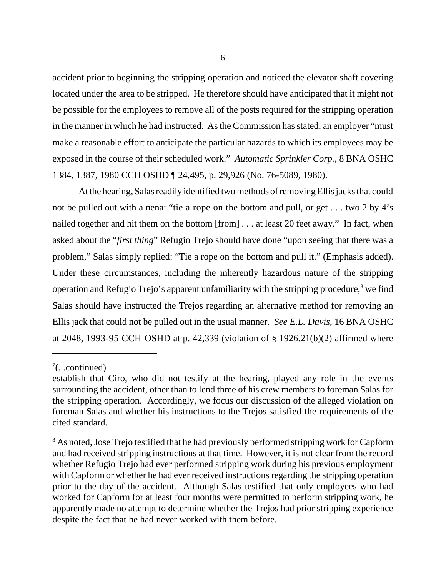accident prior to beginning the stripping operation and noticed the elevator shaft covering located under the area to be stripped. He therefore should have anticipated that it might not be possible for the employees to remove all of the posts required for the stripping operation in the manner in which he had instructed. As the Commission has stated, an employer "must make a reasonable effort to anticipate the particular hazards to which its employees may be exposed in the course of their scheduled work." *Automatic Sprinkler Corp.*, 8 BNA OSHC 1384, 1387, 1980 CCH OSHD ¶ 24,495, p. 29,926 (No. 76-5089, 1980).

At the hearing, Salas readily identified two methods of removing Ellis jacks that could not be pulled out with a nena: "tie a rope on the bottom and pull, or get . . . two 2 by 4's nailed together and hit them on the bottom [from] . . . at least 20 feet away." In fact, when asked about the "*first thing*" Refugio Trejo should have done "upon seeing that there was a problem," Salas simply replied: "Tie a rope on the bottom and pull it." (Emphasis added). Under these circumstances, including the inherently hazardous nature of the stripping operation and Refugio Trejo's apparent unfamiliarity with the stripping procedure, $^8$  we find Salas should have instructed the Trejos regarding an alternative method for removing an Ellis jack that could not be pulled out in the usual manner. *See E.L. Davis*, 16 BNA OSHC at 2048, 1993-95 CCH OSHD at p. 42,339 (violation of § 1926.21(b)(2) affirmed where

 $7$ (...continued)

establish that Ciro, who did not testify at the hearing, played any role in the events surrounding the accident, other than to lend three of his crew members to foreman Salas for the stripping operation. Accordingly, we focus our discussion of the alleged violation on foreman Salas and whether his instructions to the Trejos satisfied the requirements of the cited standard.

<sup>&</sup>lt;sup>8</sup> As noted, Jose Trejo testified that he had previously performed stripping work for Capform and had received stripping instructions at that time. However, it is not clear from the record whether Refugio Trejo had ever performed stripping work during his previous employment with Capform or whether he had ever received instructions regarding the stripping operation prior to the day of the accident. Although Salas testified that only employees who had worked for Capform for at least four months were permitted to perform stripping work, he apparently made no attempt to determine whether the Trejos had prior stripping experience despite the fact that he had never worked with them before.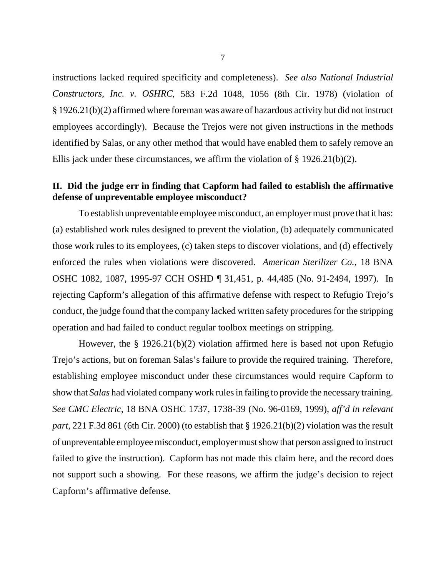instructions lacked required specificity and completeness). *See also National Industrial Constructors, Inc. v. OSHRC*, 583 F.2d 1048, 1056 (8th Cir. 1978) (violation of § 1926.21(b)(2) affirmed where foreman was aware of hazardous activity but did not instruct employees accordingly). Because the Trejos were not given instructions in the methods identified by Salas, or any other method that would have enabled them to safely remove an Ellis jack under these circumstances, we affirm the violation of § 1926.21(b)(2).

# **II. Did the judge err in finding that Capform had failed to establish the affirmative defense of unpreventable employee misconduct?**

To establish unpreventable employee misconduct, an employer must prove that it has: (a) established work rules designed to prevent the violation, (b) adequately communicated those work rules to its employees, (c) taken steps to discover violations, and (d) effectively enforced the rules when violations were discovered. *American Sterilizer Co.*, 18 BNA OSHC 1082, 1087, 1995-97 CCH OSHD ¶ 31,451, p. 44,485 (No. 91-2494, 1997). In rejecting Capform's allegation of this affirmative defense with respect to Refugio Trejo's conduct, the judge found that the company lacked written safety procedures for the stripping operation and had failed to conduct regular toolbox meetings on stripping.

However, the § 1926.21(b)(2) violation affirmed here is based not upon Refugio Trejo's actions, but on foreman Salas's failure to provide the required training. Therefore, establishing employee misconduct under these circumstances would require Capform to show that *Salas* had violated company work rules in failing to provide the necessary training. *See CMC Electric*, 18 BNA OSHC 1737, 1738-39 (No. 96-0169, 1999), *aff'd in relevant part*, 221 F.3d 861 (6th Cir. 2000) (to establish that § 1926.21(b)(2) violation was the result of unpreventable employee misconduct, employer must show that person assigned to instruct failed to give the instruction). Capform has not made this claim here, and the record does not support such a showing. For these reasons, we affirm the judge's decision to reject Capform's affirmative defense.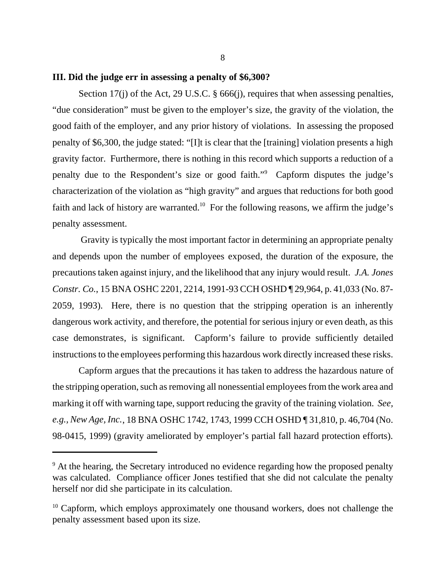### **III. Did the judge err in assessing a penalty of \$6,300?**

Section 17(j) of the Act, 29 U.S.C. § 666(j), requires that when assessing penalties, "due consideration" must be given to the employer's size, the gravity of the violation, the good faith of the employer, and any prior history of violations. In assessing the proposed penalty of \$6,300, the judge stated: "[I]t is clear that the [training] violation presents a high gravity factor. Furthermore, there is nothing in this record which supports a reduction of a penalty due to the Respondent's size or good faith."<sup>9</sup> Capform disputes the judge's characterization of the violation as "high gravity" and argues that reductions for both good faith and lack of history are warranted.<sup>10</sup> For the following reasons, we affirm the judge's penalty assessment.

 Gravity is typically the most important factor in determining an appropriate penalty and depends upon the number of employees exposed, the duration of the exposure, the precautions taken against injury, and the likelihood that any injury would result. *J.A. Jones Constr. Co.*, 15 BNA OSHC 2201, 2214, 1991-93 CCH OSHD ¶ 29,964, p. 41,033 (No. 87- 2059, 1993). Here, there is no question that the stripping operation is an inherently dangerous work activity, and therefore, the potential for serious injury or even death, as this case demonstrates, is significant. Capform's failure to provide sufficiently detailed instructions to the employees performing this hazardous work directly increased these risks.

Capform argues that the precautions it has taken to address the hazardous nature of the stripping operation, such as removing all nonessential employees from the work area and marking it off with warning tape, support reducing the gravity of the training violation. *See, e.g., New Age, Inc.*, 18 BNA OSHC 1742, 1743, 1999 CCH OSHD ¶ 31,810, p. 46,704 (No. 98-0415, 1999) (gravity ameliorated by employer's partial fall hazard protection efforts).

<sup>&</sup>lt;sup>9</sup> At the hearing, the Secretary introduced no evidence regarding how the proposed penalty was calculated. Compliance officer Jones testified that she did not calculate the penalty herself nor did she participate in its calculation.

 $10$  Capform, which employs approximately one thousand workers, does not challenge the penalty assessment based upon its size.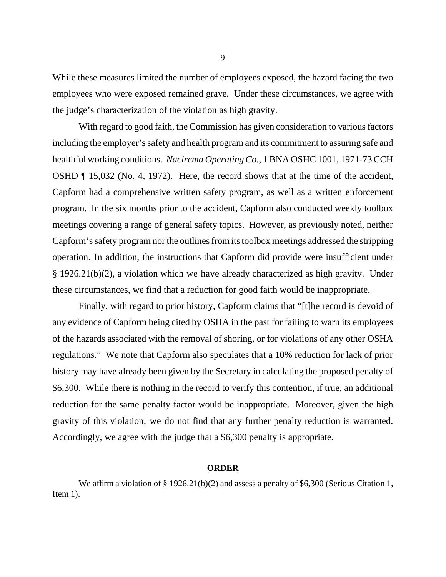While these measures limited the number of employees exposed, the hazard facing the two employees who were exposed remained grave. Under these circumstances, we agree with the judge's characterization of the violation as high gravity.

With regard to good faith, the Commission has given consideration to various factors including the employer's safety and health program and its commitment to assuring safe and healthful working conditions. *Nacirema Operating Co.*, 1 BNA OSHC 1001, 1971-73 CCH OSHD ¶ 15,032 (No. 4, 1972). Here, the record shows that at the time of the accident, Capform had a comprehensive written safety program, as well as a written enforcement program. In the six months prior to the accident, Capform also conducted weekly toolbox meetings covering a range of general safety topics. However, as previously noted, neither Capform's safety program nor the outlines from its toolbox meetings addressed the stripping operation. In addition, the instructions that Capform did provide were insufficient under § 1926.21(b)(2), a violation which we have already characterized as high gravity. Under these circumstances, we find that a reduction for good faith would be inappropriate.

Finally, with regard to prior history, Capform claims that "[t]he record is devoid of any evidence of Capform being cited by OSHA in the past for failing to warn its employees of the hazards associated with the removal of shoring, or for violations of any other OSHA regulations." We note that Capform also speculates that a 10% reduction for lack of prior history may have already been given by the Secretary in calculating the proposed penalty of \$6,300. While there is nothing in the record to verify this contention, if true, an additional reduction for the same penalty factor would be inappropriate. Moreover, given the high gravity of this violation, we do not find that any further penalty reduction is warranted. Accordingly, we agree with the judge that a \$6,300 penalty is appropriate.

### **ORDER**

We affirm a violation of § 1926.21(b)(2) and assess a penalty of \$6,300 (Serious Citation 1, Item 1).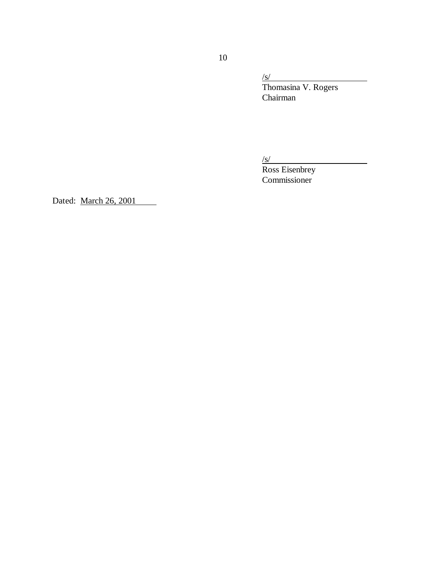/s/

Thomasina V. Rogers Chairman

/s/

Ross Eisenbrey Commissioner

Dated: March 26, 2001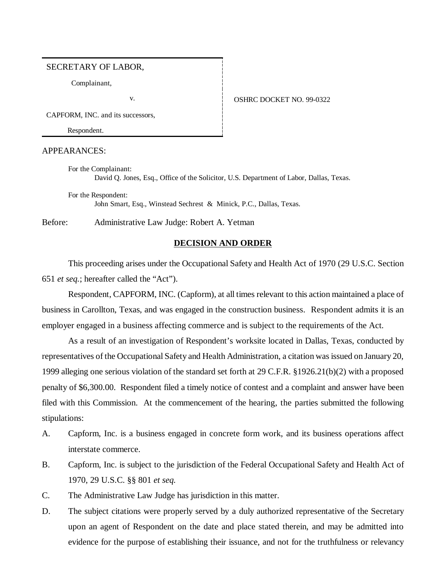#### SECRETARY OF LABOR,

Complainant,

#### v. **CONFIDENT 1 OSHRC DOCKET NO. 99-0322**

CAPFORM, INC. and its successors,

Respondent.

#### APPEARANCES:

For the Complainant: David Q. Jones, Esq., Office of the Solicitor, U.S. Department of Labor, Dallas, Texas.

For the Respondent: John Smart, Esq., Winstead Sechrest & Minick, P.C., Dallas, Texas.

Before: Administrative Law Judge: Robert A. Yetman

### **DECISION AND ORDER**

This proceeding arises under the Occupational Safety and Health Act of 1970 (29 U.S.C. Section 651 *et seq.*; hereafter called the "Act").

Respondent, CAPFORM, INC. (Capform), at all times relevant to this action maintained a place of business in Carollton, Texas, and was engaged in the construction business. Respondent admits it is an employer engaged in a business affecting commerce and is subject to the requirements of the Act.

As a result of an investigation of Respondent's worksite located in Dallas, Texas, conducted by representatives of the Occupational Safety and Health Administration, a citation was issued on January 20, 1999 alleging one serious violation of the standard set forth at 29 C.F.R. §1926.21(b)(2) with a proposed penalty of \$6,300.00. Respondent filed a timely notice of contest and a complaint and answer have been filed with this Commission. At the commencement of the hearing, the parties submitted the following stipulations:

- A. Capform, Inc. is a business engaged in concrete form work, and its business operations affect interstate commerce.
- B. Capform, Inc. is subject to the jurisdiction of the Federal Occupational Safety and Health Act of 1970, 29 U.S.C. §§ 801 *et seq.*
- C. The Administrative Law Judge has jurisdiction in this matter.
- D. The subject citations were properly served by a duly authorized representative of the Secretary upon an agent of Respondent on the date and place stated therein, and may be admitted into evidence for the purpose of establishing their issuance, and not for the truthfulness or relevancy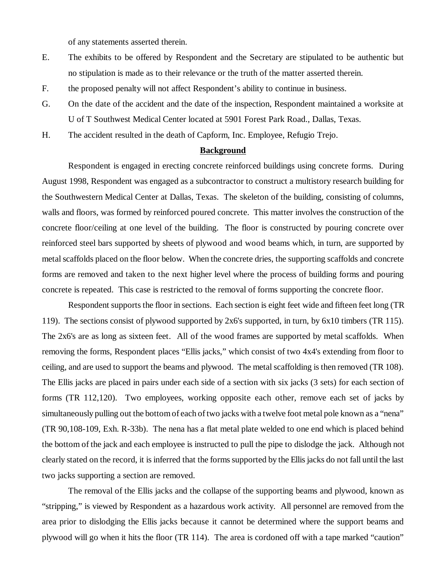of any statements asserted therein.

- E. The exhibits to be offered by Respondent and the Secretary are stipulated to be authentic but no stipulation is made as to their relevance or the truth of the matter asserted therein.
- F. the proposed penalty will not affect Respondent's ability to continue in business.
- G. On the date of the accident and the date of the inspection, Respondent maintained a worksite at U of T Southwest Medical Center located at 5901 Forest Park Road., Dallas, Texas.
- H. The accident resulted in the death of Capform, Inc. Employee, Refugio Trejo.

### **Background**

Respondent is engaged in erecting concrete reinforced buildings using concrete forms. During August 1998, Respondent was engaged as a subcontractor to construct a multistory research building for the Southwestern Medical Center at Dallas, Texas. The skeleton of the building, consisting of columns, walls and floors, was formed by reinforced poured concrete. This matter involves the construction of the concrete floor/ceiling at one level of the building. The floor is constructed by pouring concrete over reinforced steel bars supported by sheets of plywood and wood beams which, in turn, are supported by metal scaffolds placed on the floor below. When the concrete dries, the supporting scaffolds and concrete forms are removed and taken to the next higher level where the process of building forms and pouring concrete is repeated. This case is restricted to the removal of forms supporting the concrete floor.

Respondent supports the floor in sections. Each section is eight feet wide and fifteen feet long (TR 119). The sections consist of plywood supported by 2x6's supported, in turn, by 6x10 timbers (TR 115). The 2x6's are as long as sixteen feet. All of the wood frames are supported by metal scaffolds. When removing the forms, Respondent places "Ellis jacks," which consist of two 4x4's extending from floor to ceiling, and are used to support the beams and plywood. The metal scaffolding is then removed (TR 108). The Ellis jacks are placed in pairs under each side of a section with six jacks (3 sets) for each section of forms (TR 112,120). Two employees, working opposite each other, remove each set of jacks by simultaneously pulling out the bottom of each of two jacks with a twelve foot metal pole known as a "nena" (TR 90,108-109, Exh. R-33b). The nena has a flat metal plate welded to one end which is placed behind the bottom of the jack and each employee is instructed to pull the pipe to dislodge the jack. Although not clearly stated on the record, it is inferred that the forms supported by the Ellis jacks do not fall until the last two jacks supporting a section are removed.

The removal of the Ellis jacks and the collapse of the supporting beams and plywood, known as "stripping," is viewed by Respondent as a hazardous work activity. All personnel are removed from the area prior to dislodging the Ellis jacks because it cannot be determined where the support beams and plywood will go when it hits the floor (TR 114). The area is cordoned off with a tape marked "caution"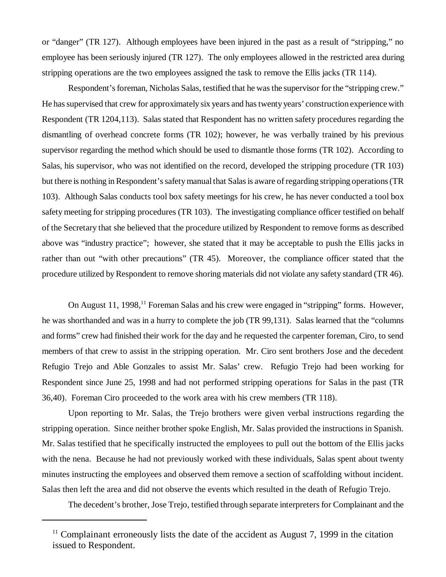or "danger" (TR 127). Although employees have been injured in the past as a result of "stripping," no employee has been seriously injured (TR 127). The only employees allowed in the restricted area during stripping operations are the two employees assigned the task to remove the Ellis jacks (TR 114).

Respondent's foreman, Nicholas Salas, testified that he was the supervisor for the "stripping crew." He has supervised that crew for approximately six years and has twenty years' construction experience with Respondent (TR 1204,113). Salas stated that Respondent has no written safety procedures regarding the dismantling of overhead concrete forms (TR 102); however, he was verbally trained by his previous supervisor regarding the method which should be used to dismantle those forms (TR 102). According to Salas, his supervisor, who was not identified on the record, developed the stripping procedure (TR 103) but there is nothing in Respondent's safety manual that Salas is aware of regarding stripping operations (TR 103). Although Salas conducts tool box safety meetings for his crew, he has never conducted a tool box safety meeting for stripping procedures (TR 103). The investigating compliance officer testified on behalf of the Secretary that she believed that the procedure utilized by Respondent to remove forms as described above was "industry practice"; however, she stated that it may be acceptable to push the Ellis jacks in rather than out "with other precautions" (TR 45). Moreover, the compliance officer stated that the procedure utilized by Respondent to remove shoring materials did not violate any safety standard (TR 46).

On August 11, 1998,<sup>11</sup> Foreman Salas and his crew were engaged in "stripping" forms. However, he was shorthanded and was in a hurry to complete the job (TR 99,131). Salas learned that the "columns and forms" crew had finished their work for the day and he requested the carpenter foreman, Ciro, to send members of that crew to assist in the stripping operation. Mr. Ciro sent brothers Jose and the decedent Refugio Trejo and Able Gonzales to assist Mr. Salas' crew. Refugio Trejo had been working for Respondent since June 25, 1998 and had not performed stripping operations for Salas in the past (TR 36,40). Foreman Ciro proceeded to the work area with his crew members (TR 118).

Upon reporting to Mr. Salas, the Trejo brothers were given verbal instructions regarding the stripping operation. Since neither brother spoke English, Mr. Salas provided the instructions in Spanish. Mr. Salas testified that he specifically instructed the employees to pull out the bottom of the Ellis jacks with the nena. Because he had not previously worked with these individuals, Salas spent about twenty minutes instructing the employees and observed them remove a section of scaffolding without incident. Salas then left the area and did not observe the events which resulted in the death of Refugio Trejo.

The decedent's brother, Jose Trejo, testified through separate interpreters for Complainant and the

 $11$  Complainant erroneously lists the date of the accident as August 7, 1999 in the citation issued to Respondent.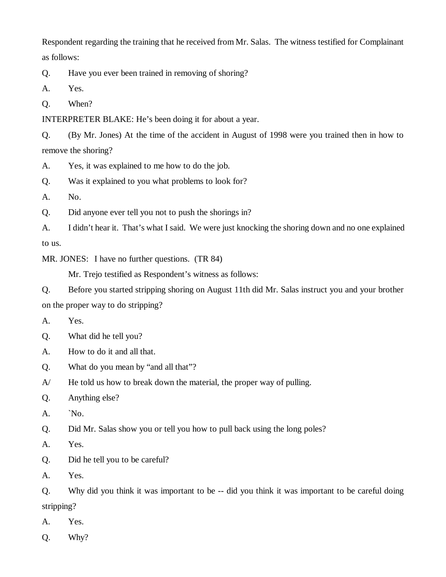Respondent regarding the training that he received from Mr. Salas. The witness testified for Complainant as follows:

Q. Have you ever been trained in removing of shoring?

A. Yes.

Q. When?

INTERPRETER BLAKE: He's been doing it for about a year.

Q. (By Mr. Jones) At the time of the accident in August of 1998 were you trained then in how to remove the shoring?

A. Yes, it was explained to me how to do the job.

Q. Was it explained to you what problems to look for?

A. No.

Q. Did anyone ever tell you not to push the shorings in?

A. I didn't hear it. That's what I said. We were just knocking the shoring down and no one explained to us.

MR. JONES: I have no further questions. (TR 84)

Mr. Trejo testified as Respondent's witness as follows:

Q. Before you started stripping shoring on August 11th did Mr. Salas instruct you and your brother on the proper way to do stripping?

A. Yes.

Q. What did he tell you?

A. How to do it and all that.

Q. What do you mean by "and all that"?

A/ He told us how to break down the material, the proper way of pulling.

Q. Anything else?

A. `No.

Q. Did Mr. Salas show you or tell you how to pull back using the long poles?

A. Yes.

Q. Did he tell you to be careful?

A. Yes.

Q. Why did you think it was important to be -- did you think it was important to be careful doing stripping?

A. Yes.

Q. Why?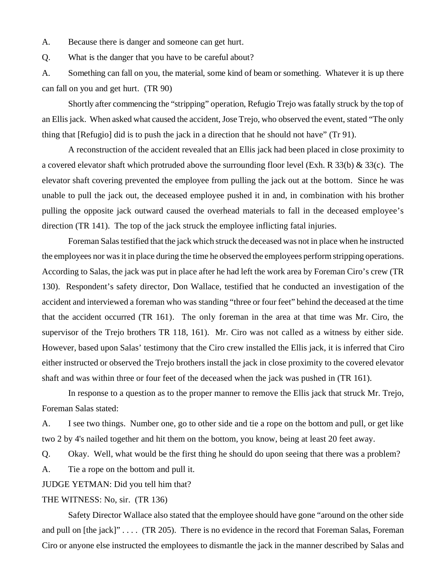A. Because there is danger and someone can get hurt.

Q. What is the danger that you have to be careful about?

A. Something can fall on you, the material, some kind of beam or something. Whatever it is up there can fall on you and get hurt. (TR 90)

Shortly after commencing the "stripping" operation, Refugio Trejo was fatally struck by the top of an Ellis jack. When asked what caused the accident, Jose Trejo, who observed the event, stated "The only thing that [Refugio] did is to push the jack in a direction that he should not have" (Tr 91).

A reconstruction of the accident revealed that an Ellis jack had been placed in close proximity to a covered elevator shaft which protruded above the surrounding floor level (Exh. R 33(b) & 33(c). The elevator shaft covering prevented the employee from pulling the jack out at the bottom. Since he was unable to pull the jack out, the deceased employee pushed it in and, in combination with his brother pulling the opposite jack outward caused the overhead materials to fall in the deceased employee's direction (TR 141). The top of the jack struck the employee inflicting fatal injuries.

Foreman Salas testified that the jack which struck the deceased was not in place when he instructed the employees nor was it in place during the time he observed the employees perform stripping operations. According to Salas, the jack was put in place after he had left the work area by Foreman Ciro's crew (TR 130). Respondent's safety director, Don Wallace, testified that he conducted an investigation of the accident and interviewed a foreman who was standing "three or four feet" behind the deceased at the time that the accident occurred (TR 161). The only foreman in the area at that time was Mr. Ciro, the supervisor of the Trejo brothers TR 118, 161). Mr. Ciro was not called as a witness by either side. However, based upon Salas' testimony that the Ciro crew installed the Ellis jack, it is inferred that Ciro either instructed or observed the Trejo brothers install the jack in close proximity to the covered elevator shaft and was within three or four feet of the deceased when the jack was pushed in (TR 161).

In response to a question as to the proper manner to remove the Ellis jack that struck Mr. Trejo, Foreman Salas stated:

A. I see two things. Number one, go to other side and tie a rope on the bottom and pull, or get like two 2 by 4's nailed together and hit them on the bottom, you know, being at least 20 feet away.

Q. Okay. Well, what would be the first thing he should do upon seeing that there was a problem?

A. Tie a rope on the bottom and pull it.

JUDGE YETMAN: Did you tell him that?

#### THE WITNESS: No, sir. (TR 136)

Safety Director Wallace also stated that the employee should have gone "around on the other side and pull on [the jack]" . . . . (TR 205). There is no evidence in the record that Foreman Salas, Foreman Ciro or anyone else instructed the employees to dismantle the jack in the manner described by Salas and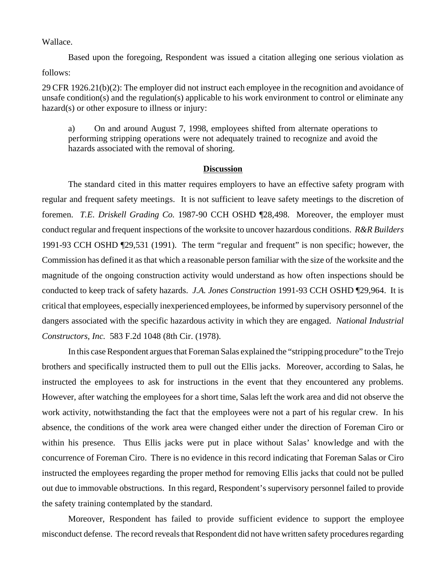Wallace.

Based upon the foregoing, Respondent was issued a citation alleging one serious violation as follows:

29 CFR 1926.21(b)(2): The employer did not instruct each employee in the recognition and avoidance of unsafe condition(s) and the regulation(s) applicable to his work environment to control or eliminate any hazard(s) or other exposure to illness or injury:

a) On and around August 7, 1998, employees shifted from alternate operations to performing stripping operations were not adequately trained to recognize and avoid the hazards associated with the removal of shoring.

#### **Discussion**

The standard cited in this matter requires employers to have an effective safety program with regular and frequent safety meetings. It is not sufficient to leave safety meetings to the discretion of foremen. *T.E. Driskell Grading Co.* 1987-90 CCH OSHD ¶28,498. Moreover, the employer must conduct regular and frequent inspections of the worksite to uncover hazardous conditions. *R&R Builders* 1991-93 CCH OSHD ¶29,531 (1991). The term "regular and frequent" is non specific; however, the Commission has defined it as that which a reasonable person familiar with the size of the worksite and the magnitude of the ongoing construction activity would understand as how often inspections should be conducted to keep track of safety hazards. *J.A. Jones Construction* 1991-93 CCH OSHD ¶29,964. It is critical that employees, especially inexperienced employees, be informed by supervisory personnel of the dangers associated with the specific hazardous activity in which they are engaged. *National Industrial Constructors, Inc.* 583 F.2d 1048 (8th Cir. (1978).

In this case Respondent argues that Foreman Salas explained the "stripping procedure" to the Trejo brothers and specifically instructed them to pull out the Ellis jacks. Moreover, according to Salas, he instructed the employees to ask for instructions in the event that they encountered any problems. However, after watching the employees for a short time, Salas left the work area and did not observe the work activity, notwithstanding the fact that the employees were not a part of his regular crew. In his absence, the conditions of the work area were changed either under the direction of Foreman Ciro or within his presence. Thus Ellis jacks were put in place without Salas' knowledge and with the concurrence of Foreman Ciro. There is no evidence in this record indicating that Foreman Salas or Ciro instructed the employees regarding the proper method for removing Ellis jacks that could not be pulled out due to immovable obstructions. In this regard, Respondent's supervisory personnel failed to provide the safety training contemplated by the standard.

Moreover, Respondent has failed to provide sufficient evidence to support the employee misconduct defense. The record reveals that Respondent did not have written safety procedures regarding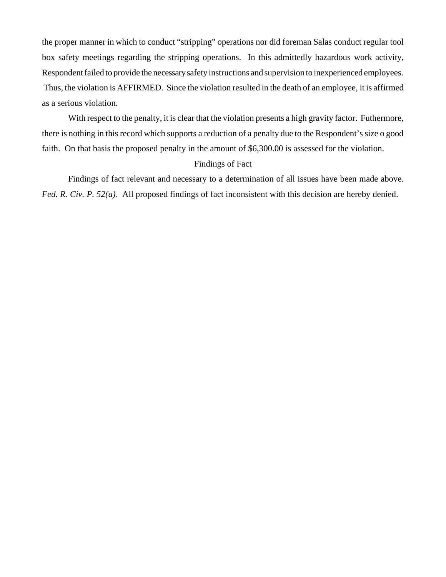the proper manner in which to conduct "stripping" operations nor did foreman Salas conduct regular tool box safety meetings regarding the stripping operations. In this admittedly hazardous work activity, Respondent failed to provide the necessary safety instructions and supervision to inexperienced employees. Thus, the violation is AFFIRMED. Since the violation resulted in the death of an employee, it is affirmed as a serious violation.

With respect to the penalty, it is clear that the violation presents a high gravity factor. Futhermore, there is nothing in this record which supports a reduction of a penalty due to the Respondent's size o good faith. On that basis the proposed penalty in the amount of \$6,300.00 is assessed for the violation.

### Findings of Fact

Findings of fact relevant and necessary to a determination of all issues have been made above. *Fed. R. Civ. P. 52(a).* All proposed findings of fact inconsistent with this decision are hereby denied.